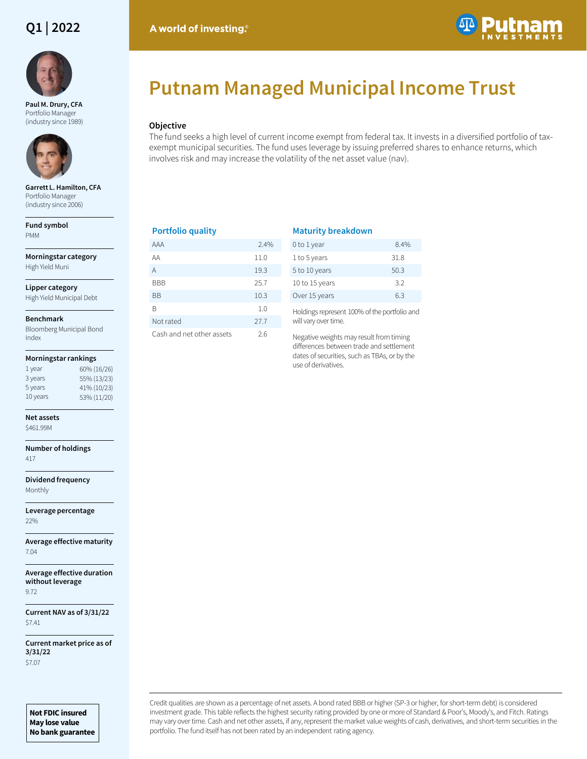## **Q1 | 2022**



**Paul M. Drury, CFA**  Portfolio Manager (industry since 1989)



**Garrett L. Hamilton, CFA**  Portfolio Manager (industry since 2006)

**Fund symbol** PMM

**Morningstar category** High Yield Muni

**Lipper category**

High Yield Municipal Debt

### **Benchmark**

Bloomberg Municipal Bond Index

### **Morningstar rankings**

| 1 year   | 60% (16/26) |
|----------|-------------|
| 3 years  | 55% (13/23) |
| 5 years  | 41% (10/23) |
| 10 years | 53% (11/20) |
|          |             |

### **Net assets**

\$461.99M

**Number of holdings** 417

**Dividend frequency** Monthly

**Leverage percentage** 22%

**Average effective maturity** 7.04

**Average effective duration without leverage** 9.72

**Current NAV as of 3/31/22** \$7.41

**Current market price as of 3/31/22** \$7.07

**Not FDIC insured May lose value No bank guarantee**

# **Putnam Managed Municipal Income Trust**

### **Objective**

A world of investing.

The fund seeks a high level of current income exempt from federal tax. It invests in a diversified portfolio of taxexempt municipal securities. The fund uses leverage by issuing preferred shares to enhance returns, which involves risk and may increase the volatility of the net asset value (nav).

### **Portfolio quality**

| AAA                       | 2.4% |
|---------------------------|------|
| ΑA                        | 11.0 |
| A                         | 19.3 |
| BBB                       | 25.7 |
| ВB                        | 10.3 |
| R                         | 1.0  |
| Not rated                 | 27.7 |
| Cash and net other assets | 2.6  |

### **Maturity breakdown**

| 0 to 1 year    | 84%  |
|----------------|------|
| 1 to 5 years   | 31.8 |
| 5 to 10 years  | 50.3 |
| 10 to 15 years | 3.2  |
| Over 15 years  | 63   |

Holdings represent 100% of the portfolio and will vary over time.

Negative weights may result from timing differences between trade and settlement dates of securities, such as TBAs, or by the use of derivatives.

Credit qualities are shown as a percentage of net assets. A bond rated BBB or higher (SP-3 or higher, for short-term debt) is considered investment grade. This table reflects the highest security rating provided by one or more of Standard & Poor's, Moody's, and Fitch. Ratings may vary over time. Cash and net other assets, if any, represent the market value weights of cash, derivatives, and short-term securities in the portfolio. The fund itself has not been rated by an independent rating agency.